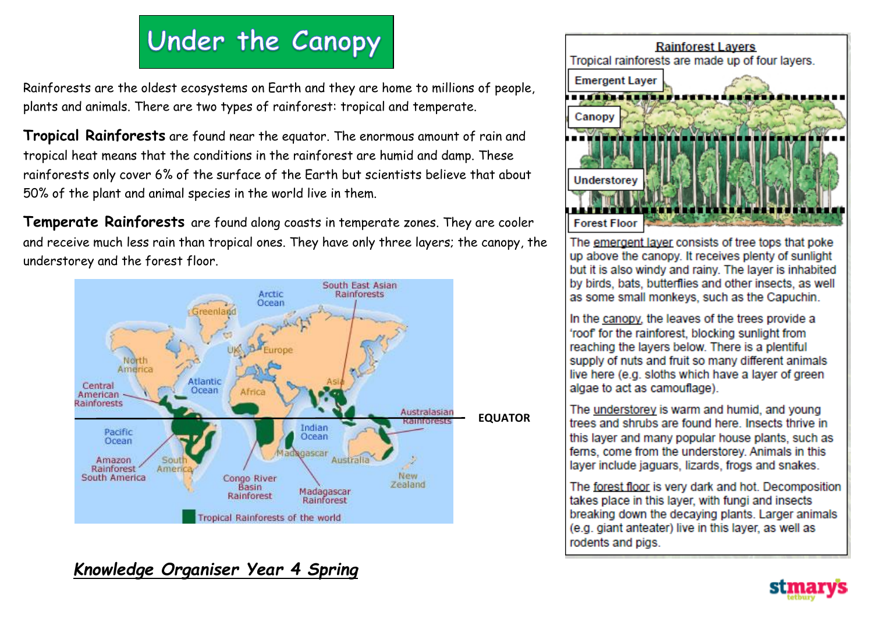# Under the Canopy

Rainforests are the oldest ecosystems on Earth and they are home to millions of people, plants and animals. There are two types of rainforest: tropical and temperate.

**Tropical Rainforests** are found near the equator. The enormous amount of rain and tropical heat means that the conditions in the rainforest are humid and damp. These rainforests only cover 6% of the surface of the Earth but scientists believe that about 50% of the plant and animal species in the world live in them.

**Temperate Rainforests** are found along coasts in temperate zones. They are cooler and receive much less rain than tropical ones. They have only three layers; the canopy, the understorey and the forest floor.



## **Rainforest Lavers** Tropical rainforests are made up of four layers. **Emergent Laver** Canopy Understor

The emergent layer consists of tree tops that poke up above the canopy. It receives plenty of sunlight but it is also windy and rainy. The layer is inhabited by birds, bats, butterflies and other insects, as well as some small monkeys, such as the Capuchin.

**Forest Floor** 

In the canopy, the leaves of the trees provide a 'roof' for the rainforest, blocking sunlight from reaching the layers below. There is a plentiful supply of nuts and fruit so many different animals live here (e.g. sloths which have a layer of green algae to act as camouflage).

The understorey is warm and humid, and young trees and shrubs are found here. Insects thrive in this layer and many popular house plants, such as ferns, come from the understorey. Animals in this laver include jaguars, lizards, frogs and snakes.

The forest floor is very dark and hot. Decomposition takes place in this layer, with fungi and insects breaking down the decaying plants. Larger animals (e.g. giant anteater) live in this layer, as well as rodents and pigs.

### *Knowledge Organiser Year 4 Spring*